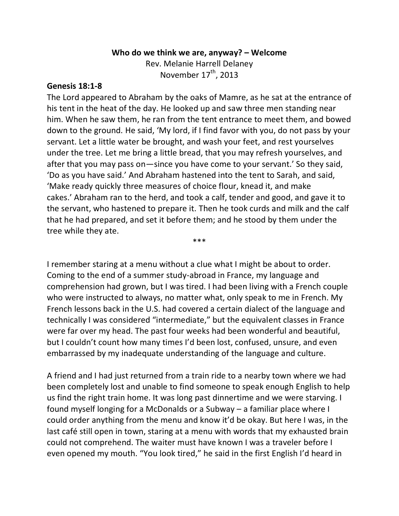## **Who do we think we are, anyway? – Welcome**

Rev. Melanie Harrell Delaney November 17<sup>th</sup>, 2013

## **Genesis 18:1-8**

The Lord appeared to Abraham by the oaks of Mamre, as he sat at the entrance of his tent in the heat of the day. He looked up and saw three men standing near him. When he saw them, he ran from the tent entrance to meet them, and bowed down to the ground. He said, 'My lord, if I find favor with you, do not pass by your servant. Let a little water be brought, and wash your feet, and rest yourselves under the tree. Let me bring a little bread, that you may refresh yourselves, and after that you may pass on—since you have come to your servant.' So they said, 'Do as you have said.' And Abraham hastened into the tent to Sarah, and said, 'Make ready quickly three measures of choice flour, knead it, and make cakes.' Abraham ran to the herd, and took a calf, tender and good, and gave it to the servant, who hastened to prepare it. Then he took curds and milk and the calf that he had prepared, and set it before them; and he stood by them under the tree while they ate.

I remember staring at a menu without a clue what I might be about to order. Coming to the end of a summer study-abroad in France, my language and comprehension had grown, but I was tired. I had been living with a French couple who were instructed to always, no matter what, only speak to me in French. My French lessons back in the U.S. had covered a certain dialect of the language and technically I was considered "intermediate," but the equivalent classes in France were far over my head. The past four weeks had been wonderful and beautiful, but I couldn't count how many times I'd been lost, confused, unsure, and even embarrassed by my inadequate understanding of the language and culture.

\*\*\*

A friend and I had just returned from a train ride to a nearby town where we had been completely lost and unable to find someone to speak enough English to help us find the right train home. It was long past dinnertime and we were starving. I found myself longing for a McDonalds or a Subway – a familiar place where I could order anything from the menu and know it'd be okay. But here I was, in the last café still open in town, staring at a menu with words that my exhausted brain could not comprehend. The waiter must have known I was a traveler before I even opened my mouth. "You look tired," he said in the first English I'd heard in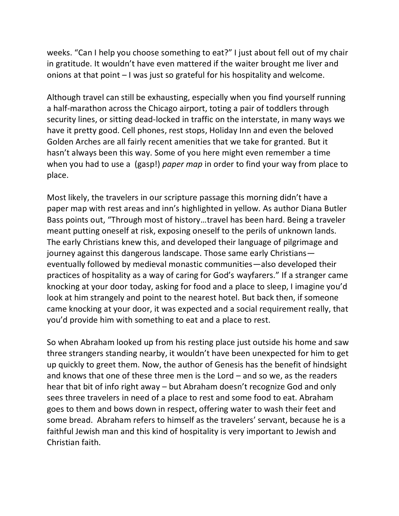weeks. "Can I help you choose something to eat?" I just about fell out of my chair in gratitude. It wouldn't have even mattered if the waiter brought me liver and onions at that point – I was just so grateful for his hospitality and welcome.

Although travel can still be exhausting, especially when you find yourself running a half-marathon across the Chicago airport, toting a pair of toddlers through security lines, or sitting dead-locked in traffic on the interstate, in many ways we have it pretty good. Cell phones, rest stops, Holiday Inn and even the beloved Golden Arches are all fairly recent amenities that we take for granted. But it hasn't always been this way. Some of you here might even remember a time when you had to use a (gasp!) *paper map* in order to find your way from place to place.

Most likely, the travelers in our scripture passage this morning didn't have a paper map with rest areas and inn's highlighted in yellow. As author Diana Butler Bass points out, "Through most of history…travel has been hard. Being a traveler meant putting oneself at risk, exposing oneself to the perils of unknown lands. The early Christians knew this, and developed their language of pilgrimage and journey against this dangerous landscape. Those same early Christians eventually followed by medieval monastic communities—also developed their practices of hospitality as a way of caring for God's wayfarers." If a stranger came knocking at your door today, asking for food and a place to sleep, I imagine you'd look at him strangely and point to the nearest hotel. But back then, if someone came knocking at your door, it was expected and a social requirement really, that you'd provide him with something to eat and a place to rest.

So when Abraham looked up from his resting place just outside his home and saw three strangers standing nearby, it wouldn't have been unexpected for him to get up quickly to greet them. Now, the author of Genesis has the benefit of hindsight and knows that one of these three men is the Lord – and so we, as the readers hear that bit of info right away – but Abraham doesn't recognize God and only sees three travelers in need of a place to rest and some food to eat. Abraham goes to them and bows down in respect, offering water to wash their feet and some bread. Abraham refers to himself as the travelers' servant, because he is a faithful Jewish man and this kind of hospitality is very important to Jewish and Christian faith.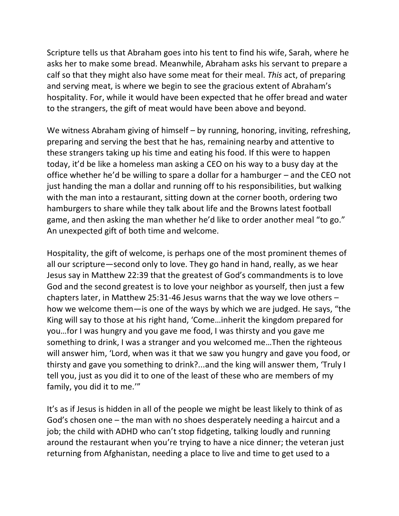Scripture tells us that Abraham goes into his tent to find his wife, Sarah, where he asks her to make some bread. Meanwhile, Abraham asks his servant to prepare a calf so that they might also have some meat for their meal. *This* act, of preparing and serving meat, is where we begin to see the gracious extent of Abraham's hospitality. For, while it would have been expected that he offer bread and water to the strangers, the gift of meat would have been above and beyond.

We witness Abraham giving of himself – by running, honoring, inviting, refreshing, preparing and serving the best that he has, remaining nearby and attentive to these strangers taking up his time and eating his food. If this were to happen today, it'd be like a homeless man asking a CEO on his way to a busy day at the office whether he'd be willing to spare a dollar for a hamburger – and the CEO not just handing the man a dollar and running off to his responsibilities, but walking with the man into a restaurant, sitting down at the corner booth, ordering two hamburgers to share while they talk about life and the Browns latest football game, and then asking the man whether he'd like to order another meal "to go." An unexpected gift of both time and welcome.

Hospitality, the gift of welcome, is perhaps one of the most prominent themes of all our scripture—second only to love. They go hand in hand, really, as we hear Jesus say in Matthew 22:39 that the greatest of God's commandments is to love God and the second greatest is to love your neighbor as yourself, then just a few chapters later, in Matthew 25:31-46 Jesus warns that the way we love others – how we welcome them—is one of the ways by which we are judged. He says, "the King will say to those at his right hand, 'Come…inherit the kingdom prepared for you…for I was hungry and you gave me food, I was thirsty and you gave me something to drink, I was a stranger and you welcomed me…Then the righteous will answer him, 'Lord, when was it that we saw you hungry and gave you food, or thirsty and gave you something to drink?...and the king will answer them, 'Truly I tell you, just as you did it to one of the least of these who are members of my family, you did it to me.'"

It's as if Jesus is hidden in all of the people we might be least likely to think of as God's chosen one – the man with no shoes desperately needing a haircut and a job; the child with ADHD who can't stop fidgeting, talking loudly and running around the restaurant when you're trying to have a nice dinner; the veteran just returning from Afghanistan, needing a place to live and time to get used to a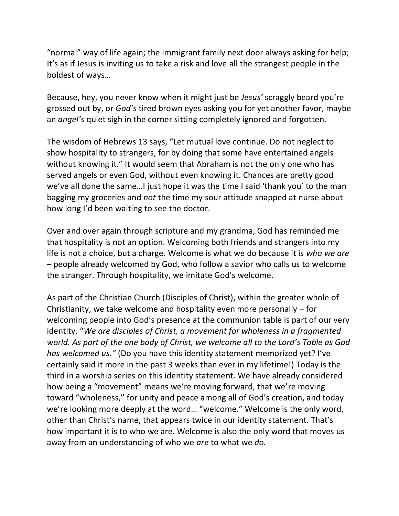"normal" way of life again; the immigrant family next door always asking for help; It's as if Jesus is inviting us to take a risk and love all the strangest people in the boldest of ways…

Because, hey, you never know when it might just be *Jesus'* scraggly beard you're grossed out by, or *God's* tired brown eyes asking you for yet another favor, maybe an *angel's* quiet sigh in the corner sitting completely ignored and forgotten.

The wisdom of Hebrews 13 says, "Let mutual love continue. Do not neglect to show hospitality to strangers, for by doing that some have entertained angels without knowing it." It would seem that Abraham is not the only one who has served angels or even God, without even knowing it. Chances are pretty good we've all done the same…I just hope it was the time I said 'thank you' to the man bagging my groceries and *not* the time my sour attitude snapped at nurse about how long I'd been waiting to see the doctor.

Over and over again through scripture and my grandma, God has reminded me that hospitality is not an option. Welcoming both friends and strangers into my life is not a choice, but a charge. Welcome is what we do because it is *who we are* – people already welcomed by God, who follow a savior who calls us to welcome the stranger. Through hospitality, we imitate God's welcome.

As part of the Christian Church (Disciples of Christ), within the greater whole of Christianity, we take welcome and hospitality even more personally – for welcoming people into God's presence at the communion table is part of our very identity. "*We are disciples of Christ, a movement for wholeness in a fragmented world. As part of the one body of Christ, we welcome all to the Lord's Table as God has welcomed us."* (Do you have this identity statement memorized yet? I've certainly said it more in the past 3 weeks than ever in my lifetime!) Today is the third in a worship series on this identity statement. We have already considered how being a "movement" means we're moving forward, that we're moving toward "wholeness," for unity and peace among all of God's creation, and today we're looking more deeply at the word… "welcome." Welcome is the only word, other than Christ's name, that appears twice in our identity statement. That's how important it is to who we are. Welcome is also the only word that moves us away from an understanding of who we *are* to what we *do.*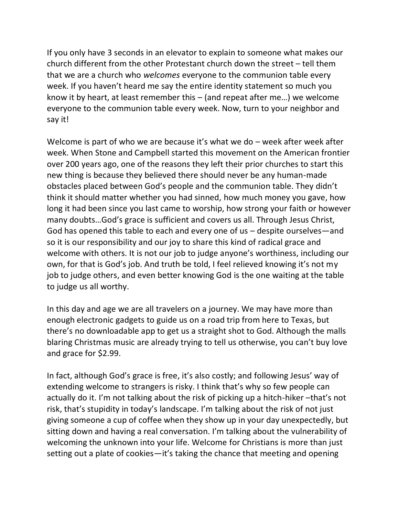If you only have 3 seconds in an elevator to explain to someone what makes our church different from the other Protestant church down the street – tell them that we are a church who *welcomes* everyone to the communion table every week. If you haven't heard me say the entire identity statement so much you know it by heart, at least remember this – (and repeat after me…) we welcome everyone to the communion table every week. Now, turn to your neighbor and say it!

Welcome is part of who we are because it's what we do – week after week after week. When Stone and Campbell started this movement on the American frontier over 200 years ago, one of the reasons they left their prior churches to start this new thing is because they believed there should never be any human-made obstacles placed between God's people and the communion table. They didn't think it should matter whether you had sinned, how much money you gave, how long it had been since you last came to worship, how strong your faith or however many doubts…God's grace is sufficient and covers us all. Through Jesus Christ, God has opened this table to each and every one of us – despite ourselves—and so it is our responsibility and our joy to share this kind of radical grace and welcome with others. It is not our job to judge anyone's worthiness, including our own, for that is God's job. And truth be told, I feel relieved knowing it's not my job to judge others, and even better knowing God is the one waiting at the table to judge us all worthy.

In this day and age we are all travelers on a journey. We may have more than enough electronic gadgets to guide us on a road trip from here to Texas, but there's no downloadable app to get us a straight shot to God. Although the malls blaring Christmas music are already trying to tell us otherwise, you can't buy love and grace for \$2.99.

In fact, although God's grace is free, it's also costly; and following Jesus' way of extending welcome to strangers is risky. I think that's why so few people can actually do it. I'm not talking about the risk of picking up a hitch-hiker –that's not risk, that's stupidity in today's landscape. I'm talking about the risk of not just giving someone a cup of coffee when they show up in your day unexpectedly, but sitting down and having a real conversation. I'm talking about the vulnerability of welcoming the unknown into your life. Welcome for Christians is more than just setting out a plate of cookies—it's taking the chance that meeting and opening